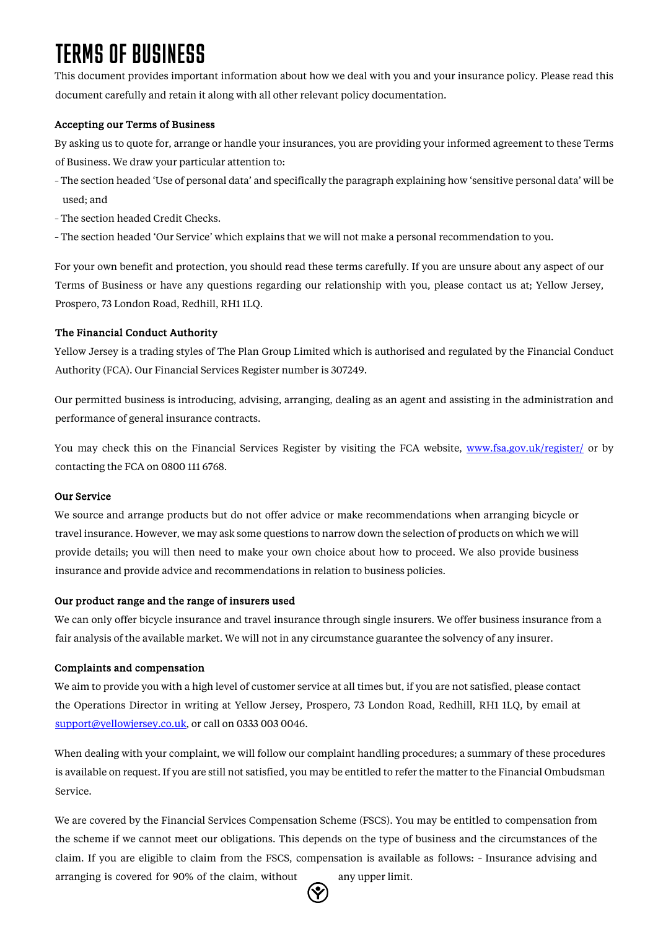# TERMS OF BUSINESS

This document provides important information about how we deal with you and your insurance policy. Please read this document carefully and retain it along with all other relevant policy documentation.

## Accepting our Terms of Business

By asking us to quote for, arrange or handle your insurances, you are providing your informed agreement to these Terms of Business. We draw your particular attention to:

- −The section headed 'Use of personal data' and specifically the paragraph explaining how 'sensitive personal data' will be used; and
- − The section headed Credit Checks.
- − The section headed 'Our Service' which explains that we will not make a personal recommendation to you.

For your own benefit and protection, you should read these terms carefully. If you are unsure about any aspect of our Terms of Business or have any questions regarding our relationship with you, please contact us at; Yellow Jersey, Prospero, 73 London Road, Redhill, RH1 1LQ.

## The Financial Conduct Authority

Yellow Jersey is a trading styles of The Plan Group Limited which is authorised and regulated by the Financial Conduct Authority (FCA). Our Financial Services Register number is 307249.

Our permitted business is introducing, advising, arranging, dealing as an agent and assisting in the administration and performance of general insurance contracts.

You may check this on the Financial Services Register by visiting the FCA websit[e, www.fsa.gov.uk/register/](http://www.fsa.gov.uk/register/) [or](http://www.fsa.gov.uk/register/) by contacting the FCA on 0800 111 6768.

## Our Service

We source and arrange products but do not offer advice or make recommendations when arranging bicycle or travel insurance. However, we may ask some questions to narrow down the selection of products on which we will provide details; you will then need to make your own choice about how to proceed. We also provide business insurance and provide advice and recommendations in relation to business policies.

## Our product range and the range of insurers used

We can only offer bicycle insurance and travel insurance through single insurers. We offer business insurance from a fair analysis of the available market. We will not in any circumstance guarantee the solvency of any insurer.

## Complaints and compensation

We aim to provide you with a high level of customer service at all times but, if you are not satisfied, please contact the Operations Director in writing at Yellow Jersey, Prospero, 73 London Road, Redhill, RH1 1LQ, by email at support@yellowjersey.co.uk, or call on 0333 003 0046.

When dealing with your complaint, we will follow our complaint handling procedures; a summary of these procedures is available on request. If you are still not satisfied, you may be entitled to refer the matter to the Financial Ombudsman Service.

We are covered by the Financial Services Compensation Scheme (FSCS). You may be entitled to compensation from the scheme if we cannot meet our obligations. This depends on the type of business and the circumstances of the claim. If you are eligible to claim from the FSCS, compensation is available as follows: − Insurance advising and arranging is covered for 90% of the claim, without any upper limit.

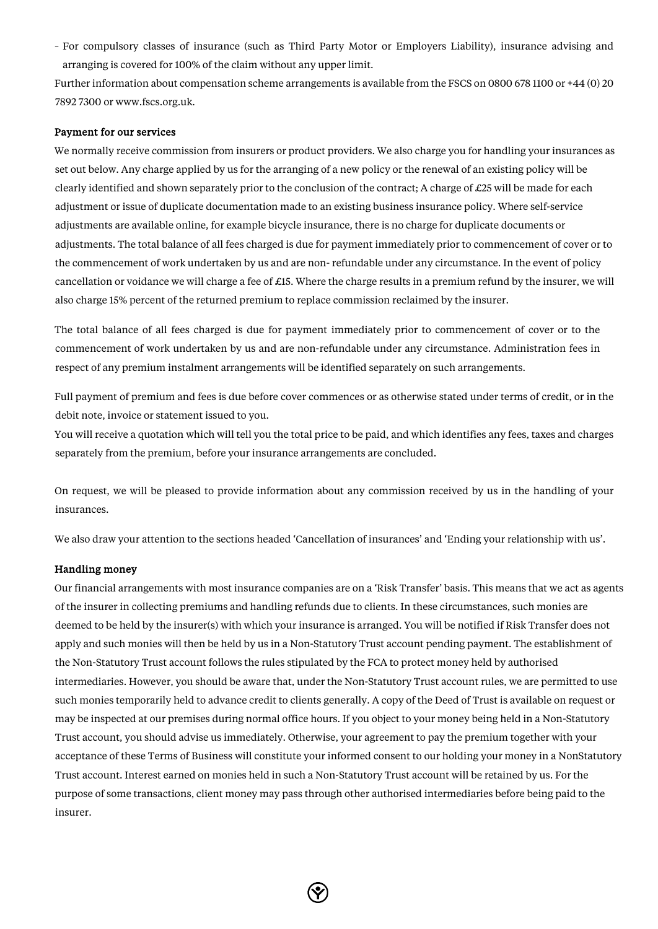− For compulsory classes of insurance (such as Third Party Motor or Employers Liability), insurance advising and arranging is covered for 100% of the claim without any upper limit.

Further information about compensation scheme arrangements is available from the FSCS on 0800 678 1100 or +44 (0) 20 7892 7300 [or www.fscs.org.uk.](http://www.fscs.org.uk/) 

#### Payment for our services

We normally receive commission from insurers or product providers. We also charge you for handling your insurances as set out below. Any charge applied by us for the arranging of a new policy or the renewal of an existing policy will be clearly identified and shown separately prior to the conclusion of the contract; A charge of £25 will be made for each adjustment or issue of duplicate documentation made to an existing business insurance policy. Where self-service adjustments are available online, for example bicycle insurance, there is no charge for duplicate documents or adjustments. The total balance of all fees charged is due for payment immediately prior to commencement of cover or to the commencement of work undertaken by us and are non- refundable under any circumstance. In the event of policy cancellation or voidance we will charge a fee of £15. Where the charge results in a premium refund by the insurer, we will also charge 15% percent of the returned premium to replace commission reclaimed by the insurer.

The total balance of all fees charged is due for payment immediately prior to commencement of cover or to the commencement of work undertaken by us and are non-refundable under any circumstance. Administration fees in respect of any premium instalment arrangements will be identified separately on such arrangements.

Full payment of premium and fees is due before cover commences or as otherwise stated under terms of credit, or in the debit note, invoice or statement issued to you.

You will receive a quotation which will tell you the total price to be paid, and which identifies any fees, taxes and charges separately from the premium, before your insurance arrangements are concluded.

On request, we will be pleased to provide information about any commission received by us in the handling of your insurances.

We also draw your attention to the sections headed 'Cancellation of insurances' and 'Ending your relationship with us'.

#### Handling money

Our financial arrangements with most insurance companies are on a 'Risk Transfer' basis. This means that we act as agents of the insurer in collecting premiums and handling refunds due to clients. In these circumstances, such monies are deemed to be held by the insurer(s) with which your insurance is arranged. You will be notified if Risk Transfer does not apply and such monies will then be held by us in a Non-Statutory Trust account pending payment. The establishment of the Non-Statutory Trust account follows the rules stipulated by the FCA to protect money held by authorised intermediaries. However, you should be aware that, under the Non-Statutory Trust account rules, we are permitted to use such monies temporarily held to advance credit to clients generally. A copy of the Deed of Trust is available on request or may be inspected at our premises during normal office hours. If you object to your money being held in a Non-Statutory Trust account, you should advise us immediately. Otherwise, your agreement to pay the premium together with your acceptance of these Terms of Business will constitute your informed consent to our holding your money in a NonStatutory Trust account. Interest earned on monies held in such a Non-Statutory Trust account will be retained by us. For the purpose of some transactions, client money may pass through other authorised intermediaries before being paid to the insurer.

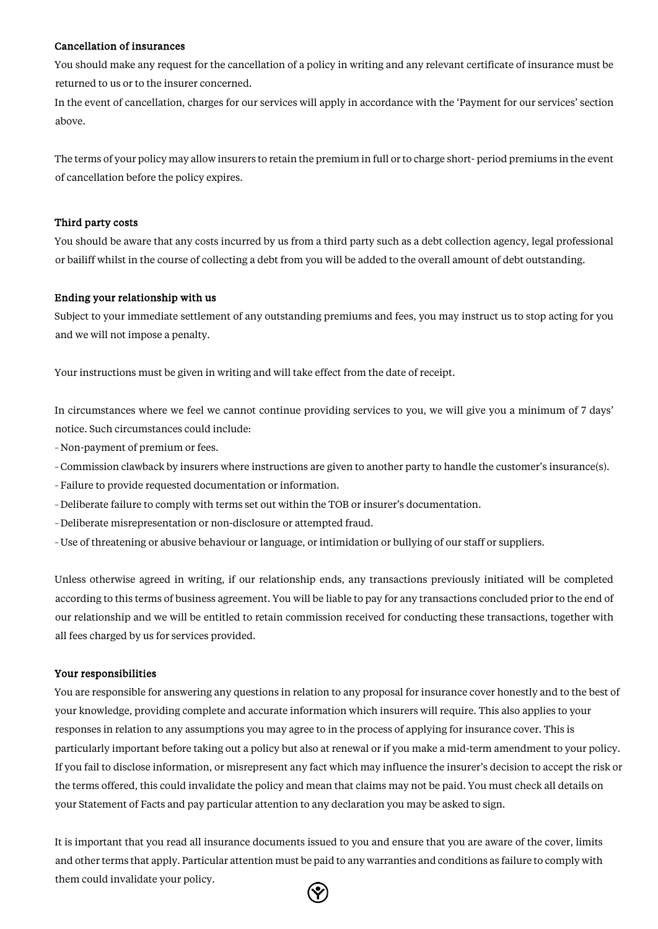#### Cancellation of insurances

You should make any request for the cancellation of a policy in writing and any relevant certificate of insurance must be returned to us or to the insurer concerned.

In the event of cancellation, charges for our services will apply in accordance with the 'Payment for our services' section above.

The terms of your policy may allow insurers to retain the premium in full or to charge short- period premiums in the event of cancellation before the policy expires.

#### Third party costs

You should be aware that any costs incurred by us from a third party such as a debt collection agency, legal professional or bailiff whilst in the course of collecting a debt from you will be added to the overall amount of debt outstanding.

### Ending your relationship with us

Subject to your immediate settlement of any outstanding premiums and fees, you may instruct us to stop acting for you and we will not impose a penalty.

Your instructions must be given in writing and will take effect from the date of receipt.

In circumstances where we feel we cannot continue providing services to you, we will give you a minimum of 7 days' notice. Such circumstances could include:

- − Non-payment of premium or fees.
- −Commission clawback by insurers where instructions are given to another party to handle the customer's insurance(s).
- −Failure to provide requested documentation or information.
- −Deliberate failure to comply with terms set out within the TOB or insurer's documentation.
- −Deliberate misrepresentation or non-disclosure or attempted fraud.
- −Use of threatening or abusive behaviour or language, or intimidation or bullying of our staff or suppliers.

Unless otherwise agreed in writing, if our relationship ends, any transactions previously initiated will be completed according to this terms of business agreement. You will be liable to pay for any transactions concluded prior to the end of our relationship and we will be entitled to retain commission received for conducting these transactions, together with all fees charged by us for services provided.

#### Your responsibilities

You are responsible for answering any questions in relation to any proposal for insurance cover honestly and to the best of your knowledge, providing complete and accurate information which insurers will require. This also applies to your responses in relation to any assumptions you may agree to in the process of applying for insurance cover. This is particularly important before taking out a policy but also at renewal or if you make a mid-term amendment to your policy. If you fail to disclose information, or misrepresent any fact which may influence the insurer's decision to accept the risk or the terms offered, this could invalidate the policy and mean that claims may not be paid. You must check all details on your Statement of Facts and pay particular attention to any declaration you may be asked to sign.

It is important that you read all insurance documents issued to you and ensure that you are aware of the cover, limits and other terms that apply. Particular attention must be paid to any warranties and conditions as failure to comply with them could invalidate your policy.

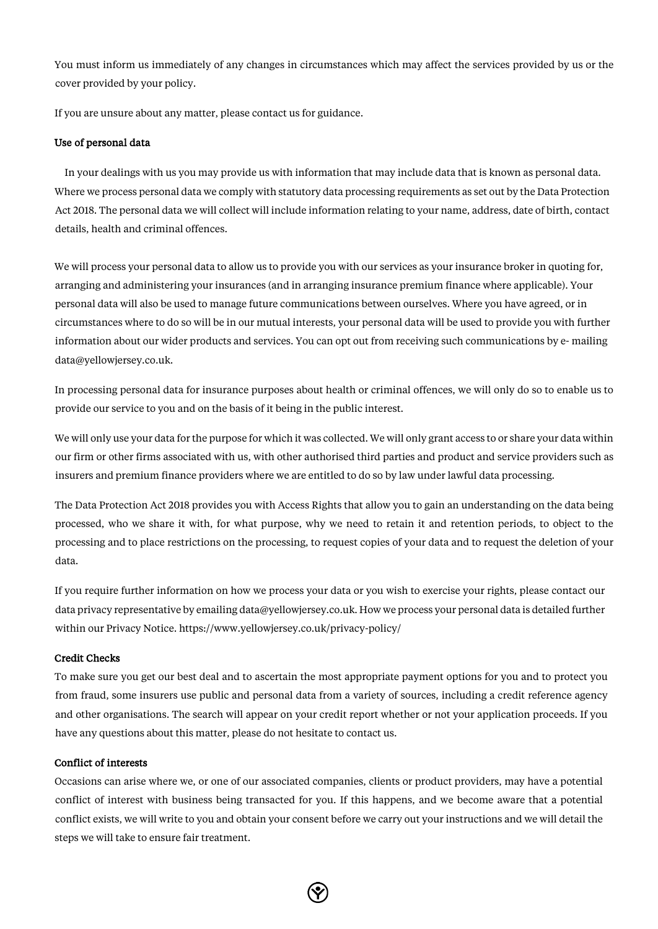You must inform us immediately of any changes in circumstances which may affect the services provided by us or the cover provided by your policy.

If you are unsure about any matter, please contact us for guidance.

#### Use of personal data

In your dealings with us you may provide us with information that may include data that is known as personal data. Where we process personal data we comply with statutory data processing requirements as set out by the Data Protection Act 2018. The personal data we will collect will include information relating to your name, address, date of birth, contact details, health and criminal offences.

We will process your personal data to allow us to provide you with our services as your insurance broker in quoting for, arranging and administering your insurances (and in arranging insurance premium finance where applicable). Your personal data will also be used to manage future communications between ourselves. Where you have agreed, or in circumstances where to do so will be in our mutual interests, your personal data will be used to provide you with further information about our wider products and services. You can opt out from receiving such communications by e- mailing data@yellowjersey.co.uk.

In processing personal data for insurance purposes about health or criminal offences, we will only do so to enable us to provide our service to you and on the basis of it being in the public interest.

We will only use your data for the purpose for which it was collected. We will only grant access to or share your data within our firm or other firms associated with us, with other authorised third parties and product and service providers such as insurers and premium finance providers where we are entitled to do so by law under lawful data processing.

The Data Protection Act 2018 provides you with Access Rights that allow you to gain an understanding on the data being processed, who we share it with, for what purpose, why we need to retain it and retention periods, to object to the processing and to place restrictions on the processing, to request copies of your data and to request the deletion of your data.

If you require further information on how we process your data or you wish to exercise your rights, please contact our data privacy representative by emailing data@yellowjersey.co.uk. How we process your personal data is detailed further within our Privacy Notice. https:[//www.yellowjersey.co.uk/privacy-policy/](http://www.yellowjersey.co.uk/privacy-policy/) 

#### Credit Checks

To make sure you get our best deal and to ascertain the most appropriate payment options for you and to protect you from fraud, some insurers use public and personal data from a variety of sources, including a credit reference agency and other organisations. The search will appear on your credit report whether or not your application proceeds. If you have any questions about this matter, please do not hesitate to contact us.

#### Conflict of interests

Occasions can arise where we, or one of our associated companies, clients or product providers, may have a potential conflict of interest with business being transacted for you. If this happens, and we become aware that a potential conflict exists, we will write to you and obtain your consent before we carry out your instructions and we will detail the steps we will take to ensure fair treatment.